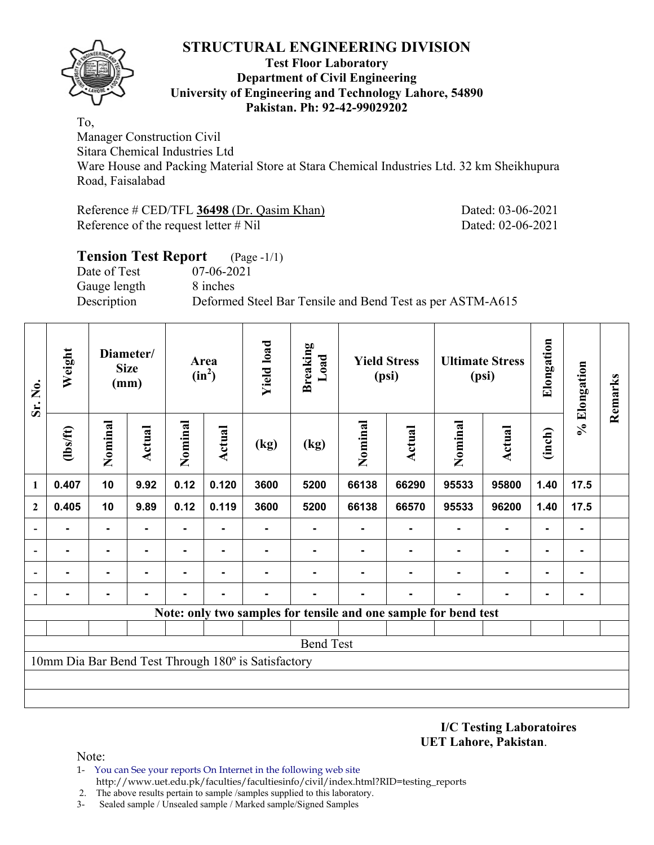

#### **Test Floor Laboratory Department of Civil Engineering University of Engineering and Technology Lahore, 54890 Pakistan. Ph: 92-42-99029202**

To,

Manager Construction Civil

Sitara Chemical Industries Ltd

Ware House and Packing Material Store at Stara Chemical Industries Ltd. 32 km Sheikhupura Road, Faisalabad

Reference # CED/TFL **36498** (Dr. Qasim Khan) Dated: 03-06-2021 Reference of the request letter # Nil Dated: 02-06-2021

## **Tension Test Report** (Page -1/1) Date of Test 07-06-2021 Gauge length 8 inches Description Deformed Steel Bar Tensile and Bend Test as per ASTM-A615

| Sr. No.                  | Weight         |                | Diameter/<br><b>Size</b><br>(mm) | Area<br>$(in^2)$ |        | <b>Yield load</b>                                   | <b>Breaking</b><br>Load                                         | <b>Yield Stress</b><br>(psi) |        |                | <b>Ultimate Stress</b><br>(psi) | Elongation     | % Elongation   | Remarks |
|--------------------------|----------------|----------------|----------------------------------|------------------|--------|-----------------------------------------------------|-----------------------------------------------------------------|------------------------------|--------|----------------|---------------------------------|----------------|----------------|---------|
|                          | $\frac{2}{10}$ | Nominal        | Actual                           | Nominal          | Actual | (kg)                                                | (kg)                                                            | Nominal                      | Actual |                | <b>Actual</b>                   | (inch)         |                |         |
| 1                        | 0.407          | 10             | 9.92                             | 0.12             | 0.120  | 3600                                                | 5200                                                            | 66138                        | 66290  | 95533          | 95800                           | 1.40           | 17.5           |         |
| $\mathbf{2}$             | 0.405          | 10             | 9.89                             | 0.12             | 0.119  | 3600                                                | 5200                                                            | 66138                        | 66570  | 95533          | 96200                           | 1.40           | 17.5           |         |
|                          |                | $\blacksquare$ |                                  | ۰                | ۰      |                                                     | ۰                                                               |                              | ۰      | $\blacksquare$ | $\blacksquare$                  | $\blacksquare$ | $\blacksquare$ |         |
|                          |                |                |                                  |                  |        |                                                     |                                                                 |                              |        |                | $\blacksquare$                  | $\blacksquare$ |                |         |
| $\overline{\phantom{0}}$ |                | ٠              |                                  |                  |        |                                                     |                                                                 |                              |        |                | $\blacksquare$                  | $\blacksquare$ | ۰              |         |
| $\overline{\phantom{a}}$ |                |                |                                  |                  |        |                                                     |                                                                 |                              |        |                |                                 | $\blacksquare$ |                |         |
|                          |                |                |                                  |                  |        |                                                     | Note: only two samples for tensile and one sample for bend test |                              |        |                |                                 |                |                |         |
|                          |                |                |                                  |                  |        |                                                     |                                                                 |                              |        |                |                                 |                |                |         |
|                          |                |                |                                  |                  |        |                                                     | <b>Bend Test</b>                                                |                              |        |                |                                 |                |                |         |
|                          |                |                |                                  |                  |        | 10mm Dia Bar Bend Test Through 180° is Satisfactory |                                                                 |                              |        |                |                                 |                |                |         |
|                          |                |                |                                  |                  |        |                                                     |                                                                 |                              |        |                |                                 |                |                |         |
|                          |                |                |                                  |                  |        |                                                     |                                                                 |                              |        |                |                                 |                |                |         |

**I/C Testing Laboratoires UET Lahore, Pakistan**.

- 1- You can See your reports On Internet in the following web site http://www.uet.edu.pk/faculties/facultiesinfo/civil/index.html?RID=testing\_reports
- 2. The above results pertain to sample /samples supplied to this laboratory.
- 3- Sealed sample / Unsealed sample / Marked sample/Signed Samples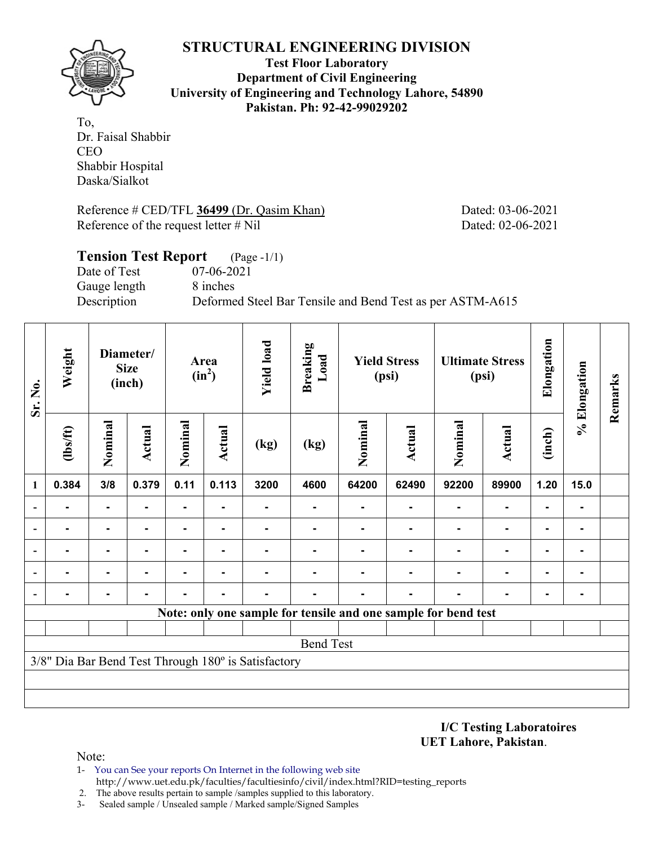

**Test Floor Laboratory Department of Civil Engineering University of Engineering and Technology Lahore, 54890 Pakistan. Ph: 92-42-99029202** 

To, Dr. Faisal Shabbir CEO Shabbir Hospital Daska/Sialkot

Reference # CED/TFL 36499 (Dr. Qasim Khan) Dated: 03-06-2021 Reference of the request letter # Nil Dated: 02-06-2021

| <b>Tension Test Report</b> | $(Page - 1/1)$                                            |
|----------------------------|-----------------------------------------------------------|
| Date of Test               | 07-06-2021                                                |
| Gauge length               | 8 inches                                                  |
| Description                | Deformed Steel Bar Tensile and Bend Test as per ASTM-A615 |
|                            |                                                           |

| Sr. No.                  | Weight         |                                 | Diameter/<br><b>Size</b><br>(inch) |                | Area<br>$(in^2)$ | <b>Yield load</b>                                   | <b>Breaking</b><br>Load | <b>Yield Stress</b><br>(psi) |               |                                                                | <b>Ultimate Stress</b><br>(psi) | Elongation     | % Elongation   | Remarks |
|--------------------------|----------------|---------------------------------|------------------------------------|----------------|------------------|-----------------------------------------------------|-------------------------|------------------------------|---------------|----------------------------------------------------------------|---------------------------------|----------------|----------------|---------|
|                          | $\frac{2}{10}$ | Nominal<br><b>Actual</b><br>3/8 |                                    | Nominal        | <b>Actual</b>    | (kg)                                                | (kg)                    | Nominal                      | <b>Actual</b> | Nominal                                                        | <b>Actual</b>                   | (inch)         |                |         |
| 1                        | 0.384          |                                 | 0.379                              | 0.11           | 0.113            | 3200                                                | 4600                    | 64200                        | 62490         | 92200                                                          | 89900                           | 1.20           | 15.0           |         |
|                          | $\blacksquare$ | $\blacksquare$                  | ۰                                  | $\blacksquare$ | $\blacksquare$   |                                                     | ۰                       |                              | ۰             | $\blacksquare$                                                 | $\blacksquare$                  | $\blacksquare$ |                |         |
|                          |                | $\blacksquare$                  |                                    | ۰              | $\blacksquare$   |                                                     |                         |                              |               | $\blacksquare$                                                 | $\blacksquare$                  | $\blacksquare$ |                |         |
|                          |                |                                 |                                    |                |                  |                                                     |                         |                              |               |                                                                |                                 | $\blacksquare$ | $\blacksquare$ |         |
|                          |                | -                               |                                    |                |                  |                                                     |                         |                              |               |                                                                | $\blacksquare$                  | ۰              | -              |         |
| $\overline{\phantom{0}}$ |                |                                 |                                    |                |                  |                                                     |                         |                              |               |                                                                |                                 | $\blacksquare$ | $\blacksquare$ |         |
|                          |                |                                 |                                    |                |                  |                                                     |                         |                              |               | Note: only one sample for tensile and one sample for bend test |                                 |                |                |         |
|                          |                |                                 |                                    |                |                  |                                                     |                         |                              |               |                                                                |                                 |                |                |         |
|                          |                |                                 |                                    |                |                  |                                                     | <b>Bend Test</b>        |                              |               |                                                                |                                 |                |                |         |
|                          |                |                                 |                                    |                |                  | 3/8" Dia Bar Bend Test Through 180° is Satisfactory |                         |                              |               |                                                                |                                 |                |                |         |
|                          |                |                                 |                                    |                |                  |                                                     |                         |                              |               |                                                                |                                 |                |                |         |
|                          |                |                                 |                                    |                |                  |                                                     |                         |                              |               |                                                                |                                 |                |                |         |

**I/C Testing Laboratoires UET Lahore, Pakistan**.

- 1- You can See your reports On Internet in the following web site http://www.uet.edu.pk/faculties/facultiesinfo/civil/index.html?RID=testing\_reports
- 2. The above results pertain to sample /samples supplied to this laboratory.
- 3- Sealed sample / Unsealed sample / Marked sample/Signed Samples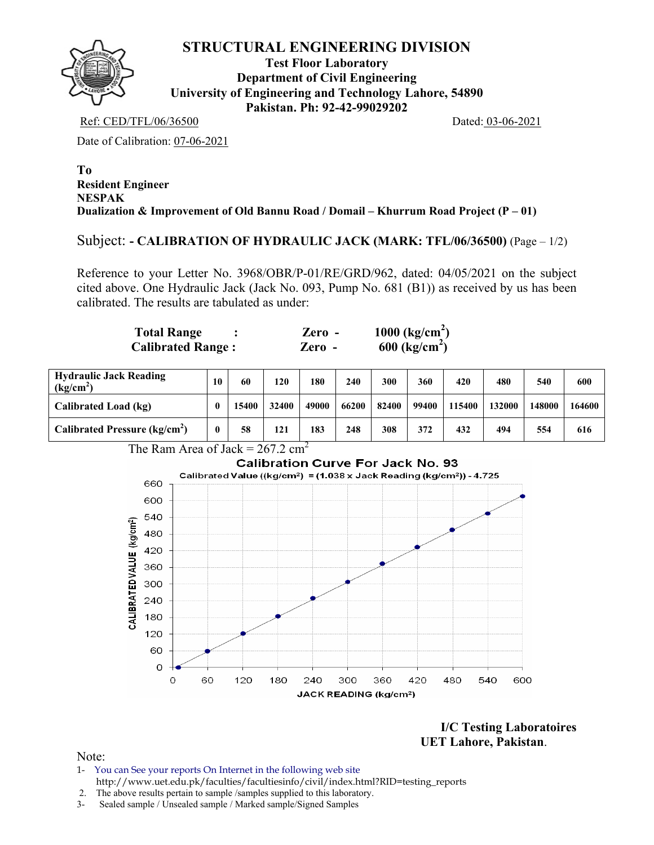

**Test Floor Laboratory Department of Civil Engineering University of Engineering and Technology Lahore, 54890 Pakistan. Ph: 92-42-99029202** 

Ref: CED/TFL/06/36500 Dated: 03-06-2021

Date of Calibration: 07-06-2021

#### **To Resident Engineer NESPAK Dualization & Improvement of Old Bannu Road / Domail – Khurrum Road Project (P – 01)**

Subject: **- CALIBRATION OF HYDRAULIC JACK (MARK: TFL/06/36500)** (Page – 1/2)

Reference to your Letter No. 3968/OBR/P-01/RE/GRD/962, dated: 04/05/2021 on the subject cited above. One Hydraulic Jack (Jack No. 093, Pump No. 681 (B1)) as received by us has been calibrated. The results are tabulated as under:

| <b>Total Range</b>       | $\chi$ ero - | 1000 $\text{(kg/cm}^2)$     |
|--------------------------|--------------|-----------------------------|
| <b>Calibrated Range:</b> | Zero -       | $600$ (kg/cm <sup>2</sup> ) |

| <b>Hydraulic Jack Reading</b><br>$\frac{1}{2}$ (kg/cm <sup>2)</sup> | 10 | 60    | 120   | 180   | 240   | 300   | 360   | 420    | 480    | 540    | 600    |
|---------------------------------------------------------------------|----|-------|-------|-------|-------|-------|-------|--------|--------|--------|--------|
| Calibrated Load (kg)                                                |    | 15400 | 32400 | 49000 | 66200 | 82400 | 99400 | 115400 | 132000 | 148000 | 164600 |
| Calibrated Pressure (kg/cm <sup>2</sup> )                           |    | 58    | 121   | 183   | 248   | 308   | 372   | 432    | 494    | 554    | 616    |

The Ram Area of Jack =  $267.2 \text{ cm}^2$ 



**I/C Testing Laboratoires UET Lahore, Pakistan**.

- 1- You can See your reports On Internet in the following web site http://www.uet.edu.pk/faculties/facultiesinfo/civil/index.html?RID=testing\_reports
- 2. The above results pertain to sample /samples supplied to this laboratory.
- 3- Sealed sample / Unsealed sample / Marked sample/Signed Samples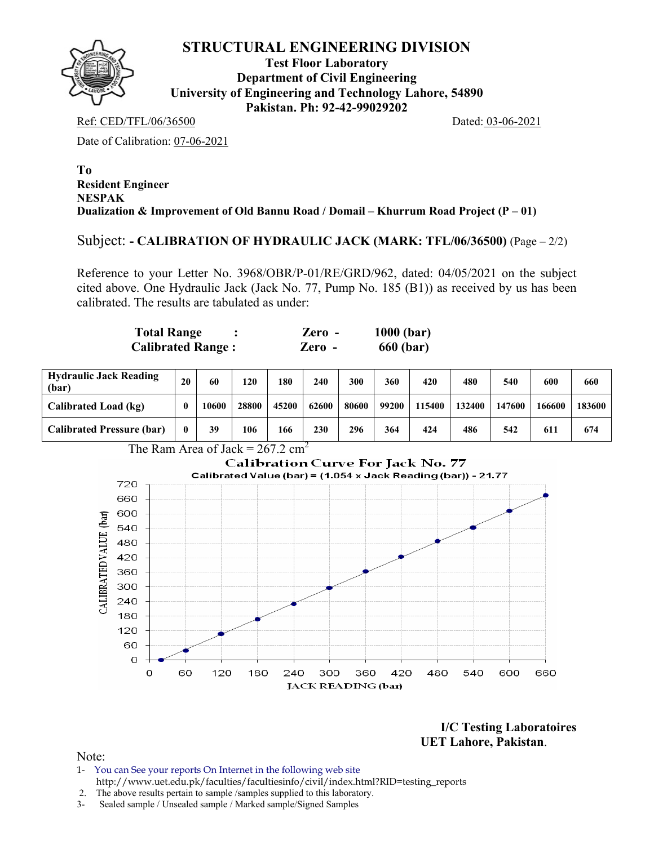

**Test Floor Laboratory Department of Civil Engineering University of Engineering and Technology Lahore, 54890 Pakistan. Ph: 92-42-99029202** 

Ref: CED/TFL/06/36500 Dated: 03-06-2021

Date of Calibration: 07-06-2021

#### **To Resident Engineer NESPAK Dualization & Improvement of Old Bannu Road / Domail – Khurrum Road Project (P – 01)**

Subject: **- CALIBRATION OF HYDRAULIC JACK (MARK: TFL/06/36500)** (Page – 2/2)

Reference to your Letter No. 3968/OBR/P-01/RE/GRD/962, dated: 04/05/2021 on the subject cited above. One Hydraulic Jack (Jack No. 77, Pump No. 185 (B1)) as received by us has been calibrated. The results are tabulated as under:

| Total Range              | Zero   | $1000$ (bar) |
|--------------------------|--------|--------------|
| <b>Calibrated Range:</b> | Zero - | 660 (bar)    |

| <b>Hydraulic Jack Reading</b><br>(bar) | 20 | 60    | 120   | 180   | 240   | 300   | 360   | 420    | 480    | 540    | 600    | 660    |
|----------------------------------------|----|-------|-------|-------|-------|-------|-------|--------|--------|--------|--------|--------|
| Calibrated Load (kg)                   | 0  | 10600 | 28800 | 45200 | 62600 | 80600 | 99200 | 115400 | 132400 | 147600 | 166600 | 183600 |
| <b>Calibrated Pressure (bar)</b>       | 0  | 39    | 106   | 166   | 230   | 296   | 364   | 424    | 486    | 542    | 611    | 674    |





**I/C Testing Laboratoires UET Lahore, Pakistan**.

- 1- You can See your reports On Internet in the following web site http://www.uet.edu.pk/faculties/facultiesinfo/civil/index.html?RID=testing\_reports
- 2. The above results pertain to sample /samples supplied to this laboratory.
- 3- Sealed sample / Unsealed sample / Marked sample/Signed Samples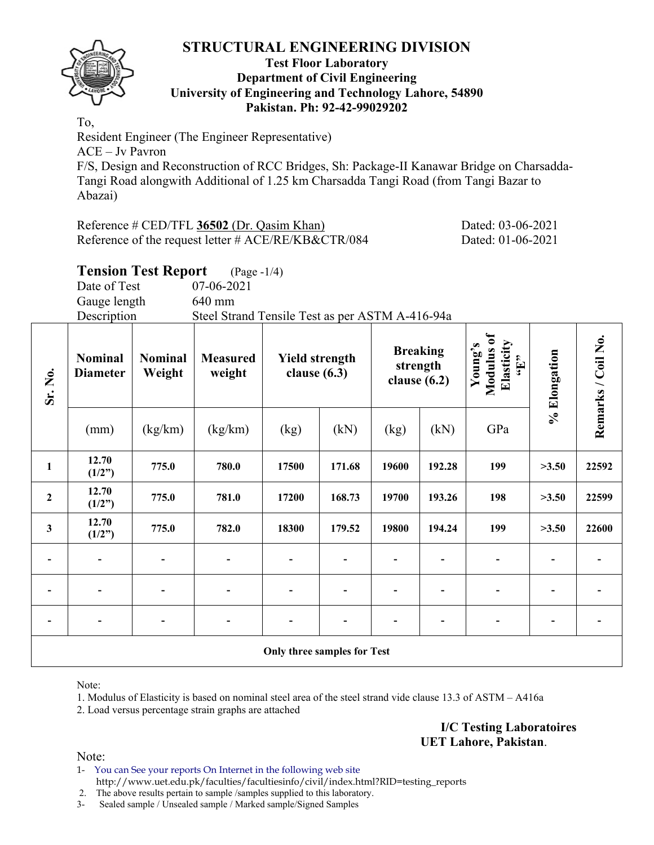

#### **Test Floor Laboratory Department of Civil Engineering University of Engineering and Technology Lahore, 54890 Pakistan. Ph: 92-42-99029202**

To, Resident Engineer (The Engineer Representative) ACE – Jv Pavron F/S, Design and Reconstruction of RCC Bridges, Sh: Package-II Kanawar Bridge on Charsadda-Tangi Road alongwith Additional of 1.25 km Charsadda Tangi Road (from Tangi Bazar to Abazai)

| Reference $\#$ CED/TFL 36502 (Dr. Qasim Khan)          | Dated: 03-06-2021 |
|--------------------------------------------------------|-------------------|
| Reference of the request letter $\#$ ACE/RE/KB&CTR/084 | Dated: 01-06-2021 |

# **Tension Test Report** (Page -1/4)

Date of Test 07-06-2021 Gauge length 640 mm Description Steel Strand Tensile Test as per ASTM A-416-94a

| Sr. No.          | <b>Nominal</b><br><b>Diameter</b> | <b>Nominal</b><br>Weight | <b>Measured</b><br>weight | <b>Yield strength</b><br>clause $(6.3)$ |        | strength<br>clause $(6.2)$ | <b>Breaking</b> | Modulus of<br>Elasticity<br>Young's<br>$\mathbf{H}$ | % Elongation | Remarks / Coil No. |
|------------------|-----------------------------------|--------------------------|---------------------------|-----------------------------------------|--------|----------------------------|-----------------|-----------------------------------------------------|--------------|--------------------|
|                  | (mm)                              | (kg/km)                  | (kg/km)                   | (kg)                                    | (kN)   | (kg)                       | (kN)            | GPa                                                 |              |                    |
| $\mathbf{1}$     | 12.70<br>(1/2")                   | 775.0                    | 780.0                     | 17500                                   | 171.68 | 19600                      | 192.28          | 199                                                 | >3.50        | 22592              |
| $\boldsymbol{2}$ | 12.70<br>(1/2")                   | 775.0                    | 781.0                     | 17200                                   | 168.73 | 19700                      | 193.26          | 198                                                 | >3.50        | 22599              |
| $\mathbf{3}$     | 12.70<br>(1/2")                   | 775.0                    | 782.0                     | 18300                                   | 179.52 | 19800                      | 194.24          | 199                                                 | >3.50        | 22600              |
|                  | $\overline{\phantom{a}}$          |                          |                           | $\qquad \qquad \blacksquare$            |        |                            |                 |                                                     |              |                    |
|                  | $\overline{\phantom{0}}$          |                          |                           | $\blacksquare$                          |        |                            |                 |                                                     |              |                    |
|                  |                                   |                          |                           |                                         |        |                            |                 |                                                     |              |                    |
|                  |                                   |                          |                           | Only three samples for Test             |        |                            |                 |                                                     |              |                    |

Note:

1. Modulus of Elasticity is based on nominal steel area of the steel strand vide clause 13.3 of ASTM – A416a

2. Load versus percentage strain graphs are attached

**I/C Testing Laboratoires UET Lahore, Pakistan**.

Note:

1- You can See your reports On Internet in the following web site http://www.uet.edu.pk/faculties/facultiesinfo/civil/index.html?RID=testing\_reports

2. The above results pertain to sample /samples supplied to this laboratory.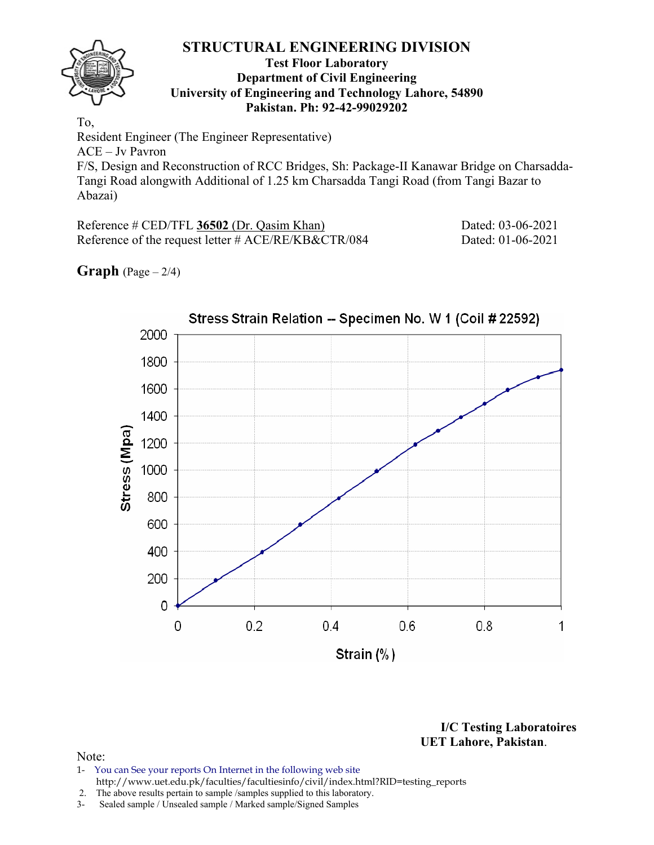

#### **Test Floor Laboratory Department of Civil Engineering University of Engineering and Technology Lahore, 54890 Pakistan. Ph: 92-42-99029202**

To, Resident Engineer (The Engineer Representative) ACE – Jv Pavron F/S, Design and Reconstruction of RCC Bridges, Sh: Package-II Kanawar Bridge on Charsadda-Tangi Road alongwith Additional of 1.25 km Charsadda Tangi Road (from Tangi Bazar to Abazai)

Reference # CED/TFL **36502** (Dr. Qasim Khan) Dated: 03-06-2021 Reference of the request letter # ACE/RE/KB&CTR/084 Dated: 01-06-2021

## **Graph**  $(Page - 2/4)$



**I/C Testing Laboratoires UET Lahore, Pakistan**.

- 1- You can See your reports On Internet in the following web site http://www.uet.edu.pk/faculties/facultiesinfo/civil/index.html?RID=testing\_reports
- 2. The above results pertain to sample /samples supplied to this laboratory.
- 3- Sealed sample / Unsealed sample / Marked sample/Signed Samples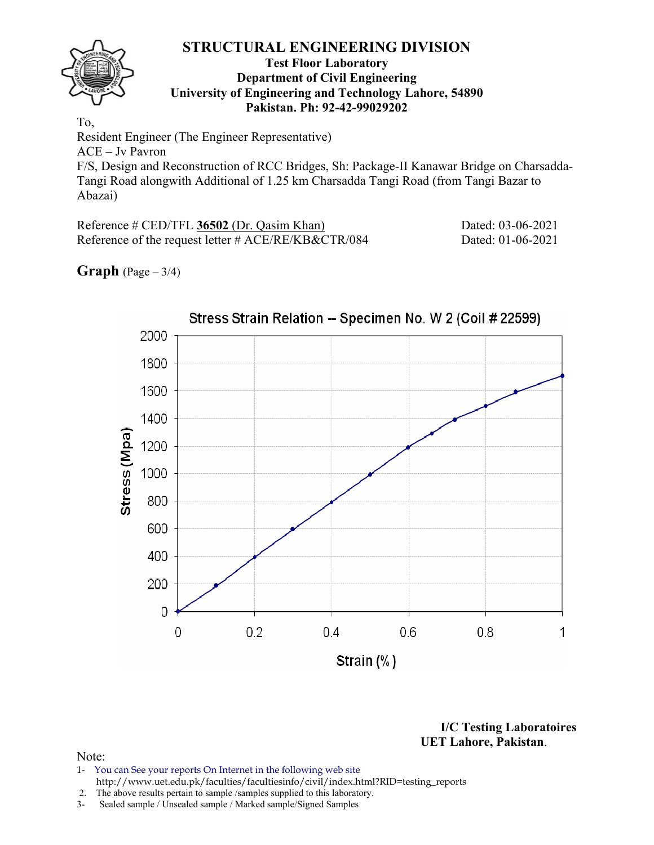

#### **Test Floor Laboratory Department of Civil Engineering University of Engineering and Technology Lahore, 54890 Pakistan. Ph: 92-42-99029202**

To, Resident Engineer (The Engineer Representative) ACE – Jv Pavron F/S, Design and Reconstruction of RCC Bridges, Sh: Package-II Kanawar Bridge on Charsadda-Tangi Road alongwith Additional of 1.25 km Charsadda Tangi Road (from Tangi Bazar to Abazai)

Reference # CED/TFL **36502** (Dr. Qasim Khan) Dated: 03-06-2021 Reference of the request letter # ACE/RE/KB&CTR/084 Dated: 01-06-2021

## **Graph**  $(Page - 3/4)$



**I/C Testing Laboratoires UET Lahore, Pakistan**.

- 1- You can See your reports On Internet in the following web site http://www.uet.edu.pk/faculties/facultiesinfo/civil/index.html?RID=testing\_reports
- 2. The above results pertain to sample /samples supplied to this laboratory.
- 3- Sealed sample / Unsealed sample / Marked sample/Signed Samples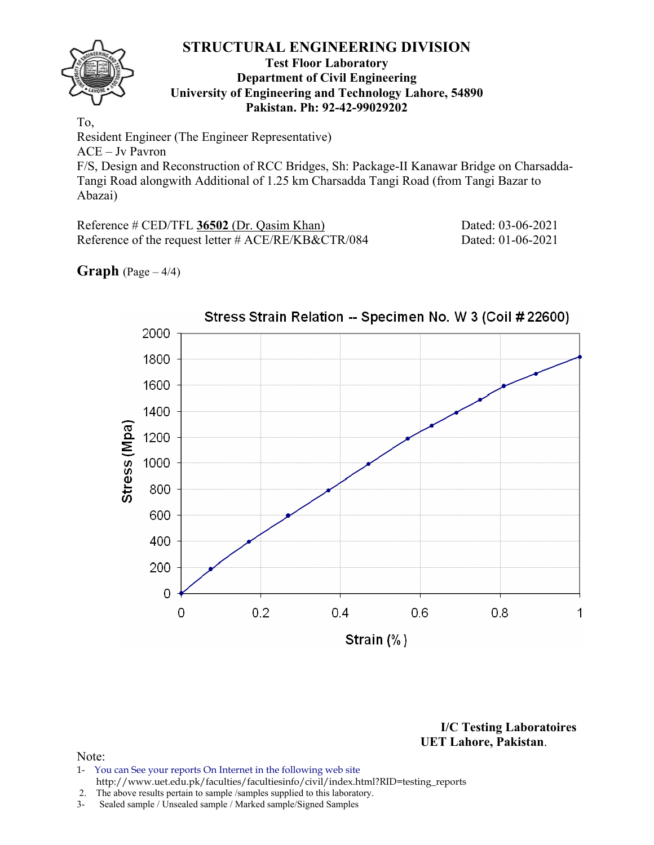

#### **Test Floor Laboratory Department of Civil Engineering University of Engineering and Technology Lahore, 54890 Pakistan. Ph: 92-42-99029202**

To, Resident Engineer (The Engineer Representative) ACE – Jv Pavron F/S, Design and Reconstruction of RCC Bridges, Sh: Package-II Kanawar Bridge on Charsadda-Tangi Road alongwith Additional of 1.25 km Charsadda Tangi Road (from Tangi Bazar to Abazai)

Reference # CED/TFL **36502** (Dr. Qasim Khan) Dated: 03-06-2021 Reference of the request letter # ACE/RE/KB&CTR/084 Dated: 01-06-2021

## **Graph**  $(Page - 4/4)$



**I/C Testing Laboratoires UET Lahore, Pakistan**.

- 1- You can See your reports On Internet in the following web site http://www.uet.edu.pk/faculties/facultiesinfo/civil/index.html?RID=testing\_reports
- 2. The above results pertain to sample /samples supplied to this laboratory.
- 3- Sealed sample / Unsealed sample / Marked sample/Signed Samples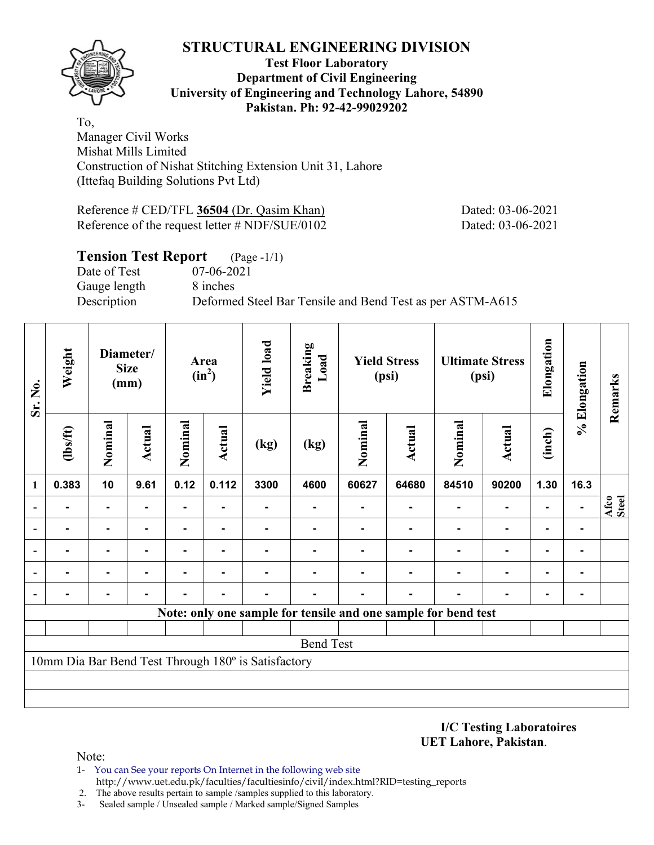

#### **Test Floor Laboratory Department of Civil Engineering University of Engineering and Technology Lahore, 54890 Pakistan. Ph: 92-42-99029202**

To, Manager Civil Works Mishat Mills Limited Construction of Nishat Stitching Extension Unit 31, Lahore (Ittefaq Building Solutions Pvt Ltd)

Reference # CED/TFL **36504** (Dr. Qasim Khan) Dated: 03-06-2021 Reference of the request letter # NDF/SUE/0102 Dated: 03-06-2021

## **Tension Test Report** (Page -1/1) Date of Test 07-06-2021 Gauge length 8 inches Description Deformed Steel Bar Tensile and Bend Test as per ASTM-A615

| Sr. No.                  | Weight         |                | Diameter/<br><b>Size</b><br>(mm) |         | Area<br>$(in^2)$ |                                                     | <b>Breaking</b><br>Load |         | <b>Yield Stress</b><br>(psi)                                   |                | <b>Ultimate Stress</b><br>(psi) | Elongation | % Elongation | Remarks       |
|--------------------------|----------------|----------------|----------------------------------|---------|------------------|-----------------------------------------------------|-------------------------|---------|----------------------------------------------------------------|----------------|---------------------------------|------------|--------------|---------------|
|                          | $\frac{2}{10}$ | Nominal        | <b>Actual</b>                    | Nominal | Actual           | (kg)                                                | (kg)                    | Nominal | <b>Actual</b>                                                  | Nominal        | <b>Actual</b>                   | (inch)     |              |               |
| 1                        | 0.383          | 10             | 9.61                             | 0.12    | 0.112            | 3300                                                | 4600                    | 60627   | 64680                                                          | 84510          | 90200                           | 1.30       | 16.3         |               |
| $\blacksquare$           |                | $\blacksquare$ |                                  | ۰       |                  |                                                     |                         |         |                                                                | $\blacksquare$ |                                 |            | ۰.           | Afco<br>Steel |
| $\overline{\phantom{a}}$ |                | $\blacksquare$ |                                  | ۰       |                  |                                                     |                         |         |                                                                |                | $\blacksquare$                  |            | ٠            |               |
| $\overline{\phantom{0}}$ |                | $\blacksquare$ |                                  |         | -                |                                                     |                         |         |                                                                |                |                                 |            |              |               |
| $\overline{\phantom{a}}$ |                | -              |                                  |         |                  |                                                     |                         |         |                                                                |                |                                 |            |              |               |
| $\overline{\phantom{a}}$ |                |                |                                  |         |                  |                                                     |                         |         |                                                                |                |                                 |            |              |               |
|                          |                |                |                                  |         |                  |                                                     |                         |         | Note: only one sample for tensile and one sample for bend test |                |                                 |            |              |               |
|                          |                |                |                                  |         |                  |                                                     |                         |         |                                                                |                |                                 |            |              |               |
|                          |                |                |                                  |         |                  |                                                     | <b>Bend Test</b>        |         |                                                                |                |                                 |            |              |               |
|                          |                |                |                                  |         |                  | 10mm Dia Bar Bend Test Through 180° is Satisfactory |                         |         |                                                                |                |                                 |            |              |               |
|                          |                |                |                                  |         |                  |                                                     |                         |         |                                                                |                |                                 |            |              |               |
|                          |                |                |                                  |         |                  |                                                     |                         |         |                                                                |                |                                 |            |              |               |

**I/C Testing Laboratoires UET Lahore, Pakistan**.

- 1- You can See your reports On Internet in the following web site http://www.uet.edu.pk/faculties/facultiesinfo/civil/index.html?RID=testing\_reports
- 2. The above results pertain to sample /samples supplied to this laboratory.
- 3- Sealed sample / Unsealed sample / Marked sample/Signed Samples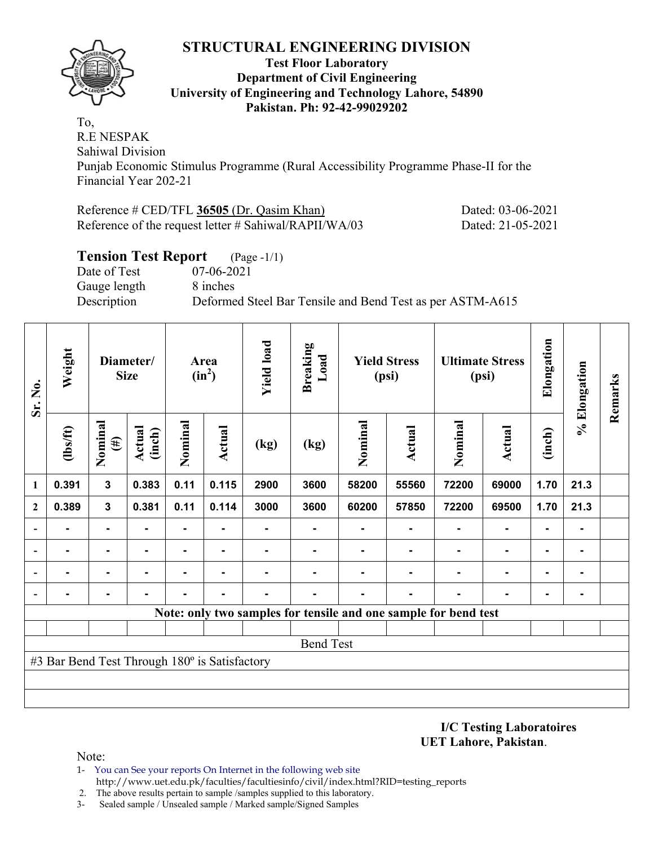

#### **Test Floor Laboratory Department of Civil Engineering University of Engineering and Technology Lahore, 54890 Pakistan. Ph: 92-42-99029202**

To, R.E NESPAK Sahiwal Division

Punjab Economic Stimulus Programme (Rural Accessibility Programme Phase-II for the Financial Year 202-21

Reference # CED/TFL **36505** (Dr. Qasim Khan) Dated: 03-06-2021 Reference of the request letter # Sahiwal/RAPII/WA/03 Dated: 21-05-2021

### **Tension Test Report** (Page -1/1) Date of Test 07-06-2021 Gauge length 8 inches Description Deformed Steel Bar Tensile and Bend Test as per ASTM-A615

| Sr. No.      | Weight                                        |                   | Diameter/<br><b>Size</b> | Area<br>$(in^2)$ |                | <b>Yield load</b> | <b>Breaking</b><br>Load |         | <b>Yield Stress</b><br>(psi)                                    |         | <b>Ultimate Stress</b><br>(psi) | Elongation     | % Elongation | Remarks |
|--------------|-----------------------------------------------|-------------------|--------------------------|------------------|----------------|-------------------|-------------------------|---------|-----------------------------------------------------------------|---------|---------------------------------|----------------|--------------|---------|
|              | (1bs/ft)                                      | Nominal<br>$(\#)$ | <b>Actual</b><br>(inch)  | Nominal          | Actual         | (kg)              | (kg)                    | Nominal | <b>Actual</b>                                                   | Nominal | <b>Actual</b>                   | (inch)         |              |         |
| 1            | 0.391                                         | $\mathbf{3}$      | 0.383                    | 0.11             | 0.115          | 2900              | 3600                    | 58200   | 55560                                                           | 72200   | 69000                           | 1.70           | 21.3         |         |
| $\mathbf{2}$ | 0.389                                         | $\mathbf{3}$      | 0.381                    | 0.11             | 0.114          | 3000              | 3600                    | 60200   | 57850                                                           | 72200   | 69500                           | 1.70           | 21.3         |         |
|              |                                               |                   |                          | ۰                |                |                   |                         |         |                                                                 |         | $\blacksquare$                  |                |              |         |
|              | $\blacksquare$                                | $\blacksquare$    |                          | ۰                |                |                   |                         |         |                                                                 |         | $\blacksquare$                  | $\blacksquare$ |              |         |
|              |                                               | $\blacksquare$    |                          | ۰                | $\blacksquare$ |                   |                         |         |                                                                 |         | $\blacksquare$                  | $\blacksquare$ |              |         |
|              |                                               |                   |                          |                  |                |                   |                         |         |                                                                 |         |                                 |                |              |         |
|              |                                               |                   |                          |                  |                |                   |                         |         | Note: only two samples for tensile and one sample for bend test |         |                                 |                |              |         |
|              |                                               |                   |                          |                  |                |                   |                         |         |                                                                 |         |                                 |                |              |         |
|              |                                               |                   |                          |                  |                |                   | <b>Bend Test</b>        |         |                                                                 |         |                                 |                |              |         |
|              | #3 Bar Bend Test Through 180° is Satisfactory |                   |                          |                  |                |                   |                         |         |                                                                 |         |                                 |                |              |         |
|              |                                               |                   |                          |                  |                |                   |                         |         |                                                                 |         |                                 |                |              |         |
|              |                                               |                   |                          |                  |                |                   |                         |         |                                                                 |         |                                 |                |              |         |

**I/C Testing Laboratoires UET Lahore, Pakistan**.

- 1- You can See your reports On Internet in the following web site http://www.uet.edu.pk/faculties/facultiesinfo/civil/index.html?RID=testing\_reports
- 2. The above results pertain to sample /samples supplied to this laboratory.
- 3- Sealed sample / Unsealed sample / Marked sample/Signed Samples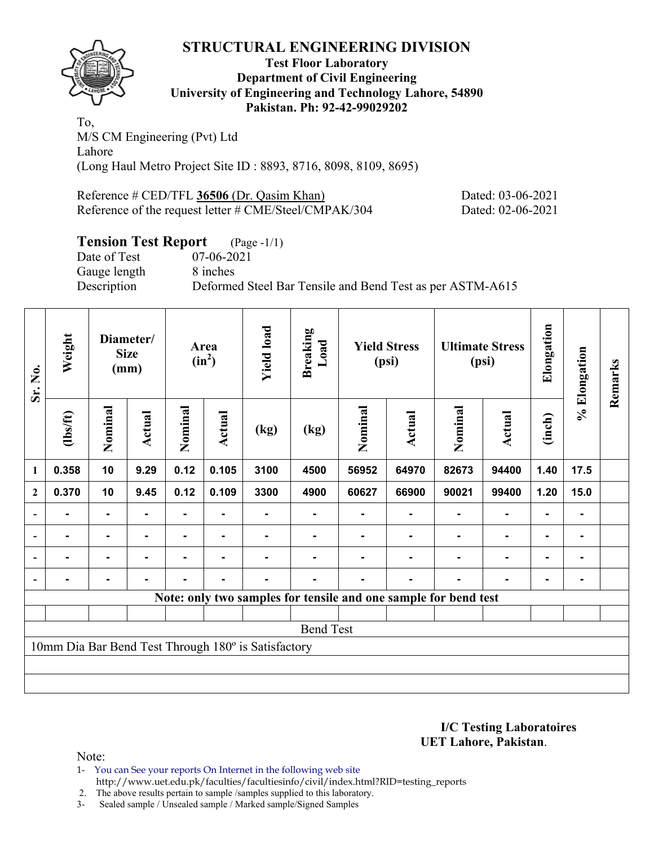

#### **Test Floor Laboratory Department of Civil Engineering University of Engineering and Technology Lahore, 54890 Pakistan. Ph: 92-42-99029202**

To, M/S CM Engineering (Pvt) Ltd Lahore (Long Haul Metro Project Site ID : 8893, 8716, 8098, 8109, 8695)

Reference # CED/TFL **36506** (Dr. Qasim Khan) Dated: 03-06-2021 Reference of the request letter # CME/Steel/CMPAK/304 Dated: 02-06-2021

# **Tension Test Report** (Page -1/1)

Date of Test 07-06-2021 Gauge length 8 inches

Description Deformed Steel Bar Tensile and Bend Test as per ASTM-A615

| Sr. No.                  | Weight   |                | Diameter/<br><b>Size</b><br>(mm) |         | Area<br>$(in^2)$                                   | <b>Yield load</b><br><b>Breaking</b><br>Load        |                                                                 | <b>Yield Stress</b><br>(psi) |                | <b>Ultimate Stress</b><br>(psi) |                | Elongation     | % Elongation | Remarks |
|--------------------------|----------|----------------|----------------------------------|---------|----------------------------------------------------|-----------------------------------------------------|-----------------------------------------------------------------|------------------------------|----------------|---------------------------------|----------------|----------------|--------------|---------|
|                          | (1bs/ft) | Nominal        | Actual                           | Nominal | Nominal<br>Actual<br><b>Actual</b><br>(kg)<br>(kg) |                                                     | Nominal                                                         | Actual                       | (inch)         |                                 |                |                |              |         |
| $\mathbf{1}$             | 0.358    | 10             | 9.29                             | 0.12    | 0.105                                              | 3100                                                | 4500                                                            | 56952                        | 64970          | 82673                           | 94400          | 1.40           | 17.5         |         |
| $\boldsymbol{2}$         | 0.370    | 10             | 9.45                             | 0.12    | 0.109                                              | 3300                                                | 4900                                                            | 60627                        | 66900          | 90021                           | 99400          | 1.20           | 15.0         |         |
| $\overline{\phantom{a}}$ |          | $\blacksquare$ |                                  |         |                                                    |                                                     |                                                                 |                              |                |                                 | $\blacksquare$ | $\blacksquare$ |              |         |
| $\overline{\phantom{a}}$ |          | $\blacksquare$ | $\overline{\phantom{0}}$         |         |                                                    |                                                     |                                                                 |                              |                |                                 | $\blacksquare$ | $\blacksquare$ | ٠            |         |
| $\overline{\phantom{a}}$ | ۰        | $\blacksquare$ | -                                | ۰       | $\blacksquare$                                     | ۰                                                   |                                                                 |                              | $\blacksquare$ | ۰                               | $\blacksquare$ | ۰              | ۰            |         |
|                          |          | ۰              | -                                |         | $\blacksquare$                                     |                                                     |                                                                 |                              | $\blacksquare$ |                                 | $\blacksquare$ | $\blacksquare$ | -            |         |
|                          |          |                |                                  |         |                                                    |                                                     | Note: only two samples for tensile and one sample for bend test |                              |                |                                 |                |                |              |         |
|                          |          |                |                                  |         |                                                    |                                                     |                                                                 |                              |                |                                 |                |                |              |         |
|                          |          |                |                                  |         |                                                    |                                                     | <b>Bend Test</b>                                                |                              |                |                                 |                |                |              |         |
|                          |          |                |                                  |         |                                                    | 10mm Dia Bar Bend Test Through 180° is Satisfactory |                                                                 |                              |                |                                 |                |                |              |         |
|                          |          |                |                                  |         |                                                    |                                                     |                                                                 |                              |                |                                 |                |                |              |         |
|                          |          |                |                                  |         |                                                    |                                                     |                                                                 |                              |                |                                 |                |                |              |         |

**I/C Testing Laboratoires UET Lahore, Pakistan**.

Note:

1- You can See your reports On Internet in the following web site http://www.uet.edu.pk/faculties/facultiesinfo/civil/index.html?RID=testing\_reports

2. The above results pertain to sample /samples supplied to this laboratory.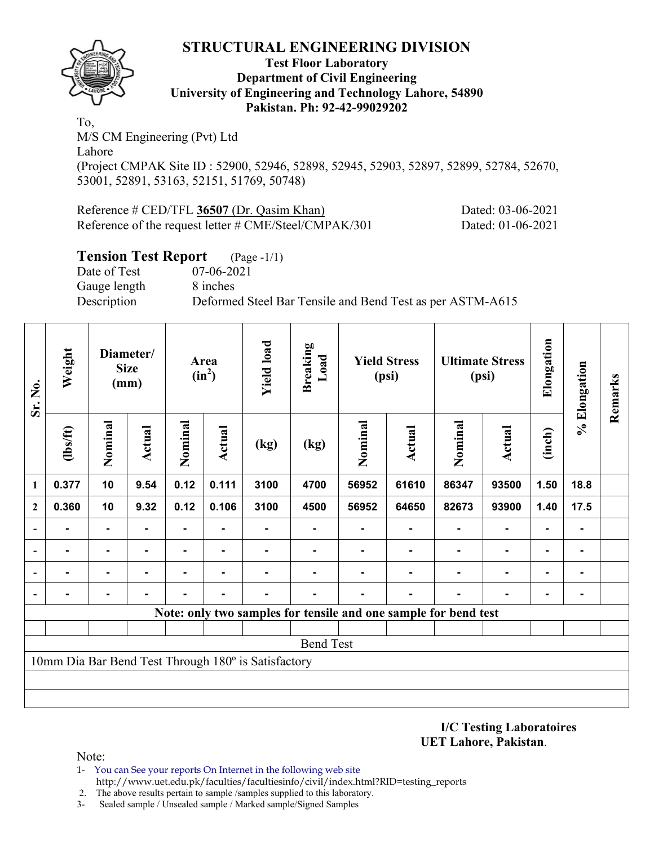

#### **Test Floor Laboratory Department of Civil Engineering University of Engineering and Technology Lahore, 54890 Pakistan. Ph: 92-42-99029202**

To, M/S CM Engineering (Pvt) Ltd Lahore (Project CMPAK Site ID : 52900, 52946, 52898, 52945, 52903, 52897, 52899, 52784, 52670, 53001, 52891, 53163, 52151, 51769, 50748)

| Reference # CED/TFL 36507 (Dr. Qasim Khan)                      | Dated: 03-06-2021 |
|-----------------------------------------------------------------|-------------------|
| Reference of the request letter $\# \text{CME/Steel/CMPAK}/301$ | Dated: 01-06-2021 |

#### **Tension Test Report** (Page -1/1)

Date of Test 07-06-2021 Gauge length 8 inches

Description Deformed Steel Bar Tensile and Bend Test as per ASTM-A615

| Sr. No.                  | Weight           | Diameter/<br><b>Size</b><br>(mm) |                | Area<br>$(in^2)$ |                | <b>Yield load</b>                                   | <b>Breaking</b><br>Load                                         | <b>Yield Stress</b><br>(psi) |               | <b>Ultimate Stress</b><br>(psi) |               | Elongation<br>% Elongation |      | Remarks |
|--------------------------|------------------|----------------------------------|----------------|------------------|----------------|-----------------------------------------------------|-----------------------------------------------------------------|------------------------------|---------------|---------------------------------|---------------|----------------------------|------|---------|
|                          | (1bs/ft)         | Nominal                          | Actual         | Nominal          | <b>Actual</b>  | (kg)                                                | (kg)                                                            | Nominal                      | <b>Actual</b> | Nominal                         | <b>Actual</b> | (inch)                     |      |         |
| 1                        | 0.377            | 10                               | 9.54           | 0.12             | 0.111          | 3100                                                | 4700                                                            | 56952                        | 61610         | 86347                           | 93500         | 1.50                       | 18.8 |         |
| $\mathbf{2}$             | 0.360            | 10                               | 9.32           | 0.12             | 0.106          | 3100                                                | 4500                                                            | 56952                        | 64650         | 82673                           | 93900         | 1.40                       | 17.5 |         |
| $\overline{\phantom{a}}$ |                  | $\blacksquare$                   |                |                  |                |                                                     |                                                                 |                              |               |                                 |               |                            |      |         |
| $\overline{\phantom{a}}$ | ۰                | $\blacksquare$                   | $\blacksquare$ | ۰                | ٠              |                                                     |                                                                 |                              |               |                                 | ۰             | $\blacksquare$             |      |         |
| $\overline{\phantom{a}}$ | ۰                |                                  | $\blacksquare$ | ٠.               | $\blacksquare$ |                                                     |                                                                 |                              | -             | ٠                               | ٠             | $\blacksquare$             |      |         |
| $\blacksquare$           | $\blacksquare$   | ۰                                | $\blacksquare$ | -                | ٠              | $\blacksquare$                                      |                                                                 |                              | ۰             | $\blacksquare$                  | ۰             | $\blacksquare$             |      |         |
|                          |                  |                                  |                |                  |                |                                                     | Note: only two samples for tensile and one sample for bend test |                              |               |                                 |               |                            |      |         |
|                          |                  |                                  |                |                  |                |                                                     |                                                                 |                              |               |                                 |               |                            |      |         |
|                          | <b>Bend Test</b> |                                  |                |                  |                |                                                     |                                                                 |                              |               |                                 |               |                            |      |         |
|                          |                  |                                  |                |                  |                | 10mm Dia Bar Bend Test Through 180° is Satisfactory |                                                                 |                              |               |                                 |               |                            |      |         |
|                          |                  |                                  |                |                  |                |                                                     |                                                                 |                              |               |                                 |               |                            |      |         |
|                          |                  |                                  |                |                  |                |                                                     |                                                                 |                              |               |                                 |               |                            |      |         |

**I/C Testing Laboratoires UET Lahore, Pakistan**.

- 1- You can See your reports On Internet in the following web site http://www.uet.edu.pk/faculties/facultiesinfo/civil/index.html?RID=testing\_reports
- 2. The above results pertain to sample /samples supplied to this laboratory.
- 3- Sealed sample / Unsealed sample / Marked sample/Signed Samples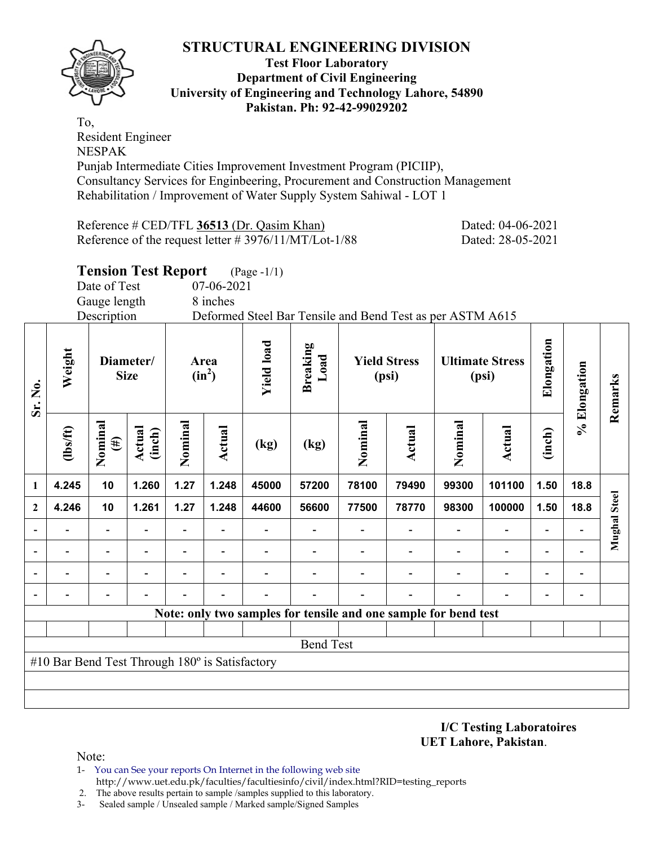

#### **Test Floor Laboratory Department of Civil Engineering University of Engineering and Technology Lahore, 54890 Pakistan. Ph: 92-42-99029202**

To, Resident Engineer NESPAK Punjab Intermediate Cities Improvement Investment Program (PICIIP), Consultancy Services for Enginbeering, Procurement and Construction Management Rehabilitation / Improvement of Water Supply System Sahiwal - LOT 1

Reference # CED/TFL 36513 (Dr. Qasim Khan) Dated: 04-06-2021 Reference of the request letter # 3976/11/MT/Lot-1/88 Dated: 28-05-2021

**Tension Test Report** (Page -1/1)

Date of Test 07-06-2021

Gauge length 8 inches

Description Deformed Steel Bar Tensile and Bend Test as per ASTM A615

| Sr. No.          | Weight<br>Diameter/<br><b>Size</b>                    |                          |                  |                          | <b>Yield load</b><br>Area<br>$(in^2)$ |       | <b>Breaking</b><br>Load                                         | <b>Yield Stress</b><br>(psi) |        |         | <b>Ultimate Stress</b><br>(psi) | Elongation               | % Elongation   | Remarks             |
|------------------|-------------------------------------------------------|--------------------------|------------------|--------------------------|---------------------------------------|-------|-----------------------------------------------------------------|------------------------------|--------|---------|---------------------------------|--------------------------|----------------|---------------------|
|                  | $\frac{2}{10}$                                        | Nominal<br>$(\#)$        | Actual<br>(inch) | Nominal                  | <b>Actual</b>                         | (kg)  | (kg)                                                            | Nominal                      | Actual | Nominal | Actual                          | (inch)                   |                |                     |
| 1                | 4.245                                                 | 10                       | 1.260            | 1.27                     | 1.248                                 | 45000 | 57200                                                           | 78100                        | 79490  | 99300   | 101100                          | 1.50                     | 18.8           |                     |
| $\boldsymbol{2}$ | 4.246                                                 | 10                       | 1.261            | 1.27                     | 1.248                                 | 44600 | 56600                                                           | 77500                        | 78770  | 98300   | 100000                          | 1.50                     | 18.8           | <b>Mughal Steel</b> |
|                  |                                                       |                          |                  |                          |                                       |       |                                                                 |                              |        |         | $\overline{\phantom{0}}$        | ۰                        |                |                     |
| ۰                |                                                       | $\overline{\phantom{0}}$ |                  | $\overline{\phantom{0}}$ |                                       |       |                                                                 |                              |        |         | $\overline{\phantom{0}}$        | $\overline{\phantom{0}}$ |                |                     |
|                  |                                                       | $\overline{\phantom{0}}$ |                  | $\overline{\phantom{0}}$ | ٠                                     |       |                                                                 |                              |        |         | $\overline{\phantom{0}}$        | $\overline{\phantom{0}}$ | $\overline{a}$ |                     |
|                  |                                                       |                          |                  |                          |                                       |       |                                                                 |                              |        |         |                                 | $\overline{\phantom{0}}$ |                |                     |
|                  |                                                       |                          |                  |                          |                                       |       | Note: only two samples for tensile and one sample for bend test |                              |        |         |                                 |                          |                |                     |
|                  |                                                       |                          |                  |                          |                                       |       |                                                                 |                              |        |         |                                 |                          |                |                     |
|                  | <b>Bend Test</b>                                      |                          |                  |                          |                                       |       |                                                                 |                              |        |         |                                 |                          |                |                     |
|                  | #10 Bar Bend Test Through $180^\circ$ is Satisfactory |                          |                  |                          |                                       |       |                                                                 |                              |        |         |                                 |                          |                |                     |
|                  |                                                       |                          |                  |                          |                                       |       |                                                                 |                              |        |         |                                 |                          |                |                     |
|                  |                                                       |                          |                  |                          |                                       |       |                                                                 |                              |        |         |                                 |                          |                |                     |

**I/C Testing Laboratoires UET Lahore, Pakistan**.

- 1- You can See your reports On Internet in the following web site http://www.uet.edu.pk/faculties/facultiesinfo/civil/index.html?RID=testing\_reports
- 2. The above results pertain to sample /samples supplied to this laboratory.
- 3- Sealed sample / Unsealed sample / Marked sample/Signed Samples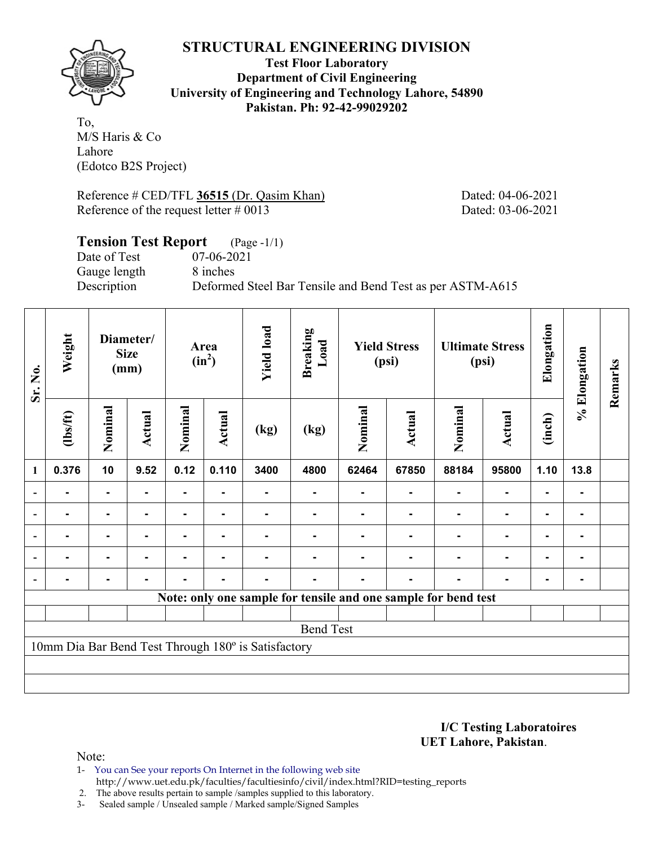

**Test Floor Laboratory Department of Civil Engineering University of Engineering and Technology Lahore, 54890 Pakistan. Ph: 92-42-99029202** 

To, M/S Haris & Co Lahore (Edotco B2S Project)

Reference # CED/TFL 36515 (Dr. Qasim Khan) Dated: 04-06-2021 Reference of the request letter # 0013 Dated: 03-06-2021

#### **Tension Test Report** (Page -1/1) Date of Test 07-06-2021 Gauge length 8 inches Description Deformed Steel Bar Tensile and Bend Test as per ASTM-A615

| Sr. No.                  | Weight                                                         | Diameter/<br><b>Size</b><br>(mm) |                | Area<br>$(in^2)$ |                | <b>Yield load</b>                                   | <b>Breaking</b><br>Load | <b>Yield Stress</b><br>(psi) |               | <b>Ultimate Stress</b><br>(psi) |                | Elongation     | % Elongation | Remarks |
|--------------------------|----------------------------------------------------------------|----------------------------------|----------------|------------------|----------------|-----------------------------------------------------|-------------------------|------------------------------|---------------|---------------------------------|----------------|----------------|--------------|---------|
|                          | $\frac{2}{10}$                                                 | Nominal                          | Actual         | Nominal          | Actual         | (kg)                                                | (kg)                    | Nominal                      | <b>Actual</b> | Nominal                         | Actual         | (inch)         |              |         |
| $\mathbf{1}$             | 0.376                                                          | 10                               | 9.52           | 0.12             | 0.110          | 3400                                                | 4800                    | 62464                        | 67850         | 88184                           | 95800          | 1.10           | 13.8         |         |
| $\overline{\phantom{a}}$ |                                                                | ٠                                |                |                  |                |                                                     |                         |                              |               |                                 |                |                |              |         |
| $\overline{\phantom{a}}$ |                                                                | $\blacksquare$                   | $\blacksquare$ |                  |                |                                                     |                         |                              |               |                                 | $\blacksquare$ | $\blacksquare$ |              |         |
| $\blacksquare$           | -                                                              | ۰                                |                | $\blacksquare$   | ٠              |                                                     |                         |                              |               |                                 | $\blacksquare$ | $\blacksquare$ |              |         |
|                          | Ξ.                                                             | $\blacksquare$                   | $\blacksquare$ | ٠                | $\blacksquare$ |                                                     |                         |                              |               |                                 | ۰              | $\blacksquare$ |              |         |
| $\blacksquare$           |                                                                | ۰                                |                |                  |                |                                                     |                         |                              | ۰.            |                                 | $\blacksquare$ | ۰              |              |         |
|                          | Note: only one sample for tensile and one sample for bend test |                                  |                |                  |                |                                                     |                         |                              |               |                                 |                |                |              |         |
|                          |                                                                |                                  |                |                  |                |                                                     |                         |                              |               |                                 |                |                |              |         |
| <b>Bend Test</b>         |                                                                |                                  |                |                  |                |                                                     |                         |                              |               |                                 |                |                |              |         |
|                          |                                                                |                                  |                |                  |                | 10mm Dia Bar Bend Test Through 180° is Satisfactory |                         |                              |               |                                 |                |                |              |         |
|                          |                                                                |                                  |                |                  |                |                                                     |                         |                              |               |                                 |                |                |              |         |
|                          |                                                                |                                  |                |                  |                |                                                     |                         |                              |               |                                 |                |                |              |         |

**I/C Testing Laboratoires UET Lahore, Pakistan**.

Note:

1- You can See your reports On Internet in the following web site http://www.uet.edu.pk/faculties/facultiesinfo/civil/index.html?RID=testing\_reports

2. The above results pertain to sample /samples supplied to this laboratory.